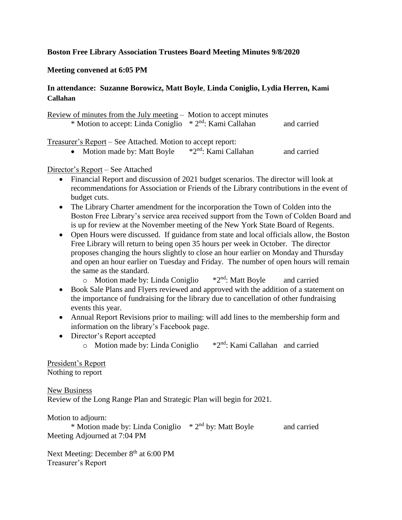## **Boston Free Library Association Trustees Board Meeting Minutes 9/8/2020**

## **Meeting convened at 6:05 PM**

# **In attendance: Suzanne Borowicz, Matt Boyle**, **Linda Coniglio, Lydia Herren, Kami Callahan**

| Review of minutes from the July meeting $-$ Motion to accept minutes<br>* Motion to accept: Linda Coniglio * 2 <sup>nd</sup> : Kami Callahan |  | and carried |  |  |  |  |  |  |
|----------------------------------------------------------------------------------------------------------------------------------------------|--|-------------|--|--|--|--|--|--|
| Treasurer's Report – See Attached. Motion to accept report:                                                                                  |  |             |  |  |  |  |  |  |

• Motion made by: Matt Boyle  $*2<sup>nd</sup>$ : Kami Callahan and carried

### Director's Report – See Attached

- Financial Report and discussion of 2021 budget scenarios. The director will look at recommendations for Association or Friends of the Library contributions in the event of budget cuts.
- The Library Charter amendment for the incorporation the Town of Colden into the Boston Free Library's service area received support from the Town of Colden Board and is up for review at the November meeting of the New York State Board of Regents.
- Open Hours were discussed. If guidance from state and local officials allow, the Boston Free Library will return to being open 35 hours per week in October. The director proposes changing the hours slightly to close an hour earlier on Monday and Thursday and open an hour earlier on Tuesday and Friday. The number of open hours will remain the same as the standard.
	- $\circ$  Motion made by: Linda Coniglio  $*2^{nd}$ : Matt Boyle and carried
- Book Sale Plans and Flyers reviewed and approved with the addition of a statement on the importance of fundraising for the library due to cancellation of other fundraising events this year.
- Annual Report Revisions prior to mailing: will add lines to the membership form and information on the library's Facebook page.
- Director's Report accepted
	- o Motion made by: Linda Coniglio \*2nd: Kami Callahan and carried

President's Report Nothing to report

New Business Review of the Long Range Plan and Strategic Plan will begin for 2021.

Motion to adjourn:

\* Motion made by: Linda Coniglio  $*2^{nd}$  by: Matt Boyle and carried Meeting Adjourned at 7:04 PM

Next Meeting: December 8<sup>th</sup> at 6:00 PM Treasurer's Report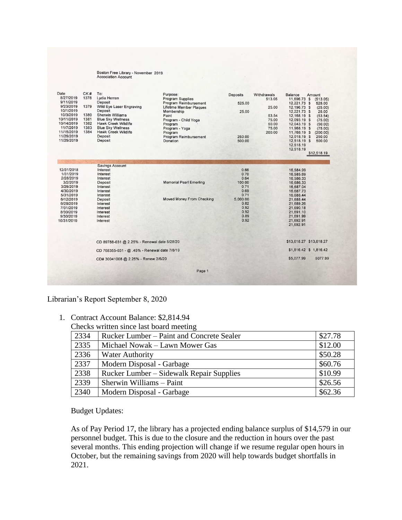# Boston Free Library - November 2019<br>Accociation Account

| Date<br>8/27/2019<br>9/11/2019<br>9/23/2019<br>10/1/2019<br>10/3/2019<br>10/11/2019<br>10/14/2019<br>11/7/2019<br>11/15/2019<br>11/29/2019 | CK#<br>1378<br>1379<br>1380<br>1381<br>1382<br>1383<br>1384 | To:<br>Lydia Herren<br>Deposit<br>Wild Eye Laser Engraving<br>Deposit<br><b>Sherwin Williams</b><br><b>Blue Sky Wellness</b><br><b>Hawk Creek Wildlife</b><br><b>Blue Sky Wellness</b><br><b>Hawk Creek Wildlife</b><br>Deposit | Purpose:<br><b>Program Supplies</b><br>Program Reimbursement<br><b>Lifetime Member Plaques</b><br>Membership<br>Paint<br>Program - Child Yoga<br>Program<br>Program - Yoga<br>Program<br>Program Reimbursement | <b>Deposits</b><br>525.00<br>25.00<br>250.00 | Withdrawals<br>513.05<br>25.00<br>53.54<br>75.00<br>50.00<br>75.00<br>200.00 | <b>Balance</b><br>11,696.73 \$<br>12,221.73 \$<br>12,196.73 \$<br>12,221.73 \$<br>12,168.19 \$<br>12,093.19 \$<br>12.043.19 \$<br>11,968.19 \$<br>11,768.19 \$<br>12,018.19 \$ | Amount<br>(513.05)<br>525.00<br>(25.00)<br>25.00<br>(53.54)<br>(75.00)<br>(50.00)<br>(75.00)<br>(200.00)<br>250.00 |
|--------------------------------------------------------------------------------------------------------------------------------------------|-------------------------------------------------------------|---------------------------------------------------------------------------------------------------------------------------------------------------------------------------------------------------------------------------------|----------------------------------------------------------------------------------------------------------------------------------------------------------------------------------------------------------------|----------------------------------------------|------------------------------------------------------------------------------|--------------------------------------------------------------------------------------------------------------------------------------------------------------------------------|--------------------------------------------------------------------------------------------------------------------|
| 11/29/2019                                                                                                                                 |                                                             | Deposit                                                                                                                                                                                                                         | Donation                                                                                                                                                                                                       | 500.00                                       |                                                                              | 12,518.19 \$<br>12.518.19<br>12,518.19                                                                                                                                         | 500.00<br>\$12,518.19                                                                                              |
|                                                                                                                                            |                                                             |                                                                                                                                                                                                                                 |                                                                                                                                                                                                                |                                              |                                                                              |                                                                                                                                                                                |                                                                                                                    |
| 12/31/2018                                                                                                                                 |                                                             | <b>Savings Account</b><br>Interest                                                                                                                                                                                              |                                                                                                                                                                                                                | 0.66                                         |                                                                              | 16,584.99                                                                                                                                                                      |                                                                                                                    |
| 1/31/2019                                                                                                                                  |                                                             | Interest                                                                                                                                                                                                                        |                                                                                                                                                                                                                | 0.70                                         |                                                                              | 16,585.69                                                                                                                                                                      |                                                                                                                    |
| 2/28/2019                                                                                                                                  |                                                             | Interest                                                                                                                                                                                                                        |                                                                                                                                                                                                                | 0.64                                         |                                                                              | 16.586.33                                                                                                                                                                      |                                                                                                                    |
| 3/2/2019                                                                                                                                   |                                                             | Deposit                                                                                                                                                                                                                         | <b>Memorial Pearl Emerling</b>                                                                                                                                                                                 | 100.00                                       |                                                                              | 16,686.33                                                                                                                                                                      |                                                                                                                    |
| 3/29/2019                                                                                                                                  |                                                             | Interest                                                                                                                                                                                                                        |                                                                                                                                                                                                                | 0.71                                         |                                                                              | 16,687.04                                                                                                                                                                      |                                                                                                                    |
| 4/30/2019                                                                                                                                  |                                                             | Interest                                                                                                                                                                                                                        |                                                                                                                                                                                                                | 0.69                                         |                                                                              | 16,687.73                                                                                                                                                                      |                                                                                                                    |
| 5/31/2019                                                                                                                                  |                                                             | Interest                                                                                                                                                                                                                        |                                                                                                                                                                                                                | 0.71                                         |                                                                              | 16,688.44                                                                                                                                                                      |                                                                                                                    |
| 6/12/2019                                                                                                                                  |                                                             | Deposit                                                                                                                                                                                                                         | <b>Moved Money From Checking</b>                                                                                                                                                                               | 5,000.00                                     |                                                                              | 21.688.44                                                                                                                                                                      |                                                                                                                    |
| 6/28/2019                                                                                                                                  |                                                             | Interest                                                                                                                                                                                                                        |                                                                                                                                                                                                                | 0.82                                         |                                                                              | 21,689.26                                                                                                                                                                      |                                                                                                                    |
| 7/31/2019                                                                                                                                  |                                                             | Interest                                                                                                                                                                                                                        |                                                                                                                                                                                                                | 0.92                                         |                                                                              | 21,690.18                                                                                                                                                                      |                                                                                                                    |
| 8/30/2019                                                                                                                                  |                                                             | Interest                                                                                                                                                                                                                        |                                                                                                                                                                                                                | 0.92                                         |                                                                              | 21,691.10                                                                                                                                                                      |                                                                                                                    |
| 9/30/2019                                                                                                                                  |                                                             | Interest                                                                                                                                                                                                                        |                                                                                                                                                                                                                | 0.89                                         |                                                                              | 21,691.99                                                                                                                                                                      |                                                                                                                    |
| 10/31/2019                                                                                                                                 |                                                             | Interest                                                                                                                                                                                                                        |                                                                                                                                                                                                                | 0.92                                         |                                                                              | 21,692.91<br>21,692.91                                                                                                                                                         |                                                                                                                    |
|                                                                                                                                            |                                                             | CD 89788-031 @ 2.25% - Renewal date 5/28/20                                                                                                                                                                                     |                                                                                                                                                                                                                |                                              |                                                                              | \$13,618.27 \$13,618.27                                                                                                                                                        |                                                                                                                    |
|                                                                                                                                            |                                                             | CD 768355-031 - @ .45% - Renewal date 7/8/19                                                                                                                                                                                    |                                                                                                                                                                                                                |                                              |                                                                              |                                                                                                                                                                                | \$1,816.42 \$ 1,816.42                                                                                             |
|                                                                                                                                            |                                                             | CD# 30041008 @ 2.25% - Renew 3/6/20                                                                                                                                                                                             |                                                                                                                                                                                                                |                                              |                                                                              | \$5,077.99                                                                                                                                                                     | 5077.99                                                                                                            |
|                                                                                                                                            |                                                             |                                                                                                                                                                                                                                 | Page 1                                                                                                                                                                                                         |                                              |                                                                              |                                                                                                                                                                                |                                                                                                                    |

Librarian's Report September 8, 2020

1. Contract Account Balance: \$2,814.94

Checks written since last board meeting

| 2334 | Rucker Lumber – Paint and Concrete Sealer | \$27.78 |
|------|-------------------------------------------|---------|
| 2335 | Michael Nowak – Lawn Mower Gas            | \$12.00 |
| 2336 | <b>Water Authority</b>                    | \$50.28 |
| 2337 | Modern Disposal - Garbage                 | \$60.76 |
| 2338 | Rucker Lumber – Sidewalk Repair Supplies  | \$10.99 |
| 2339 | Sherwin Williams - Paint                  | \$26.56 |
| 2340 | Modern Disposal - Garbage                 | \$62.36 |

Budget Updates:

As of Pay Period 17, the library has a projected ending balance surplus of \$14,579 in our personnel budget. This is due to the closure and the reduction in hours over the past several months. This ending projection will change if we resume regular open hours in October, but the remaining savings from 2020 will help towards budget shortfalls in 2021.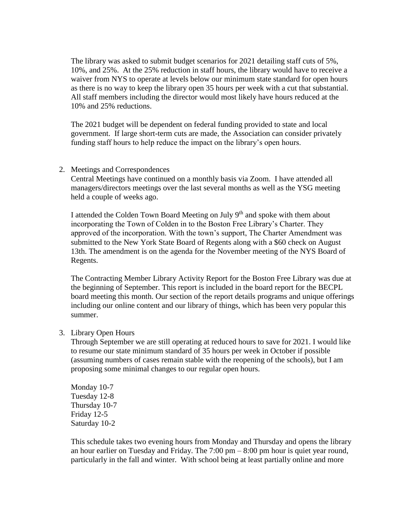The library was asked to submit budget scenarios for 2021 detailing staff cuts of 5%, 10%, and 25%. At the 25% reduction in staff hours, the library would have to receive a waiver from NYS to operate at levels below our minimum state standard for open hours as there is no way to keep the library open 35 hours per week with a cut that substantial. All staff members including the director would most likely have hours reduced at the 10% and 25% reductions.

The 2021 budget will be dependent on federal funding provided to state and local government. If large short-term cuts are made, the Association can consider privately funding staff hours to help reduce the impact on the library's open hours.

### 2. Meetings and Correspondences

Central Meetings have continued on a monthly basis via Zoom. I have attended all managers/directors meetings over the last several months as well as the YSG meeting held a couple of weeks ago.

I attended the Colden Town Board Meeting on July  $9<sup>th</sup>$  and spoke with them about incorporating the Town of Colden in to the Boston Free Library's Charter. They approved of the incorporation. With the town's support, The Charter Amendment was submitted to the New York State Board of Regents along with a \$60 check on August 13th. The amendment is on the agenda for the November meeting of the NYS Board of Regents.

The Contracting Member Library Activity Report for the Boston Free Library was due at the beginning of September. This report is included in the board report for the BECPL board meeting this month. Our section of the report details programs and unique offerings including our online content and our library of things, which has been very popular this summer.

### 3. Library Open Hours

Through September we are still operating at reduced hours to save for 2021. I would like to resume our state minimum standard of 35 hours per week in October if possible (assuming numbers of cases remain stable with the reopening of the schools), but I am proposing some minimal changes to our regular open hours.

Monday 10-7 Tuesday 12-8 Thursday 10-7 Friday 12-5 Saturday 10-2

This schedule takes two evening hours from Monday and Thursday and opens the library an hour earlier on Tuesday and Friday. The  $7:00 \text{ pm} - 8:00 \text{ pm}$  hour is quiet year round, particularly in the fall and winter. With school being at least partially online and more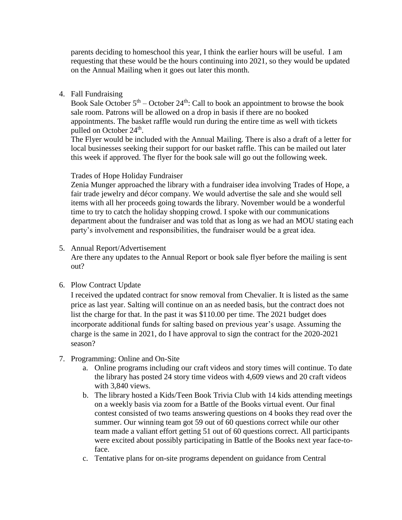parents deciding to homeschool this year, I think the earlier hours will be useful. I am requesting that these would be the hours continuing into 2021, so they would be updated on the Annual Mailing when it goes out later this month.

4. Fall Fundraising

Book Sale October  $5<sup>th</sup>$  – October  $24<sup>th</sup>$ : Call to book an appointment to browse the book sale room. Patrons will be allowed on a drop in basis if there are no booked appointments. The basket raffle would run during the entire time as well with tickets pulled on October 24<sup>th</sup>.

The Flyer would be included with the Annual Mailing. There is also a draft of a letter for local businesses seeking their support for our basket raffle. This can be mailed out later this week if approved. The flyer for the book sale will go out the following week.

## Trades of Hope Holiday Fundraiser

Zenia Munger approached the library with a fundraiser idea involving Trades of Hope, a fair trade jewelry and décor company. We would advertise the sale and she would sell items with all her proceeds going towards the library. November would be a wonderful time to try to catch the holiday shopping crowd. I spoke with our communications department about the fundraiser and was told that as long as we had an MOU stating each party's involvement and responsibilities, the fundraiser would be a great idea.

5. Annual Report/Advertisement

Are there any updates to the Annual Report or book sale flyer before the mailing is sent out?

## 6. Plow Contract Update

I received the updated contract for snow removal from Chevalier. It is listed as the same price as last year. Salting will continue on an as needed basis, but the contract does not list the charge for that. In the past it was \$110.00 per time. The 2021 budget does incorporate additional funds for salting based on previous year's usage. Assuming the charge is the same in 2021, do I have approval to sign the contract for the 2020-2021 season?

- 7. Programming: Online and On-Site
	- a. Online programs including our craft videos and story times will continue. To date the library has posted 24 story time videos with 4,609 views and 20 craft videos with 3,840 views.
	- b. The library hosted a Kids/Teen Book Trivia Club with 14 kids attending meetings on a weekly basis via zoom for a Battle of the Books virtual event. Our final contest consisted of two teams answering questions on 4 books they read over the summer. Our winning team got 59 out of 60 questions correct while our other team made a valiant effort getting 51 out of 60 questions correct. All participants were excited about possibly participating in Battle of the Books next year face-toface.
	- c. Tentative plans for on-site programs dependent on guidance from Central